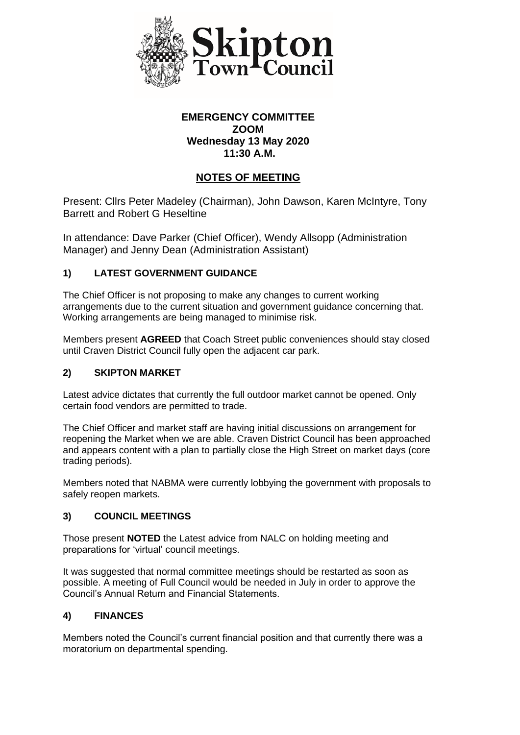

## **EMERGENCY COMMITTEE ZOOM Wednesday 13 May 2020 11:30 A.M.**

# **NOTES OF MEETING**

Present: Cllrs Peter Madeley (Chairman), John Dawson, Karen McIntyre, Tony Barrett and Robert G Heseltine

In attendance: Dave Parker (Chief Officer), Wendy Allsopp (Administration Manager) and Jenny Dean (Administration Assistant)

## **1) LATEST GOVERNMENT GUIDANCE**

The Chief Officer is not proposing to make any changes to current working arrangements due to the current situation and government guidance concerning that. Working arrangements are being managed to minimise risk.

Members present **AGREED** that Coach Street public conveniences should stay closed until Craven District Council fully open the adjacent car park.

#### **2) SKIPTON MARKET**

Latest advice dictates that currently the full outdoor market cannot be opened. Only certain food vendors are permitted to trade.

The Chief Officer and market staff are having initial discussions on arrangement for reopening the Market when we are able. Craven District Council has been approached and appears content with a plan to partially close the High Street on market days (core trading periods).

Members noted that NABMA were currently lobbying the government with proposals to safely reopen markets.

#### **3) COUNCIL MEETINGS**

Those present **NOTED** the Latest advice from NALC on holding meeting and preparations for 'virtual' council meetings.

It was suggested that normal committee meetings should be restarted as soon as possible. A meeting of Full Council would be needed in July in order to approve the Council's Annual Return and Financial Statements.

## **4) FINANCES**

Members noted the Council's current financial position and that currently there was a moratorium on departmental spending.